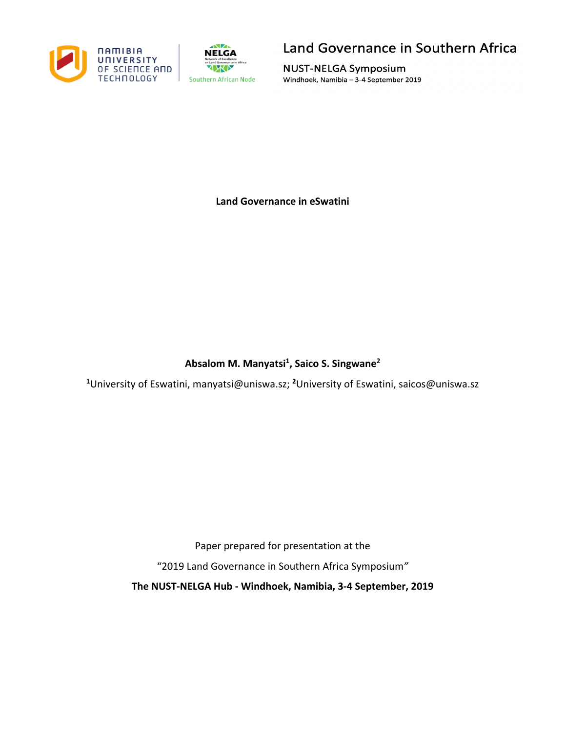



## Land Governance in Southern Africa

**NUST-NELGA Symposium** Windhoek, Namibia - 3-4 September 2019

**Land Governance in eSwatini**

## **Absalom M. Manyatsi1 , Saico S. Singwane2**

<sup>1</sup>University of Eswatini, manyatsi@uniswa.sz; <sup>2</sup>University of Eswatini, saicos@uniswa.sz

Paper prepared for presentation at the

"2019 Land Governance in Southern Africa Symposium*"*

**The NUST-NELGA Hub - Windhoek, Namibia, 3-4 September, 2019**